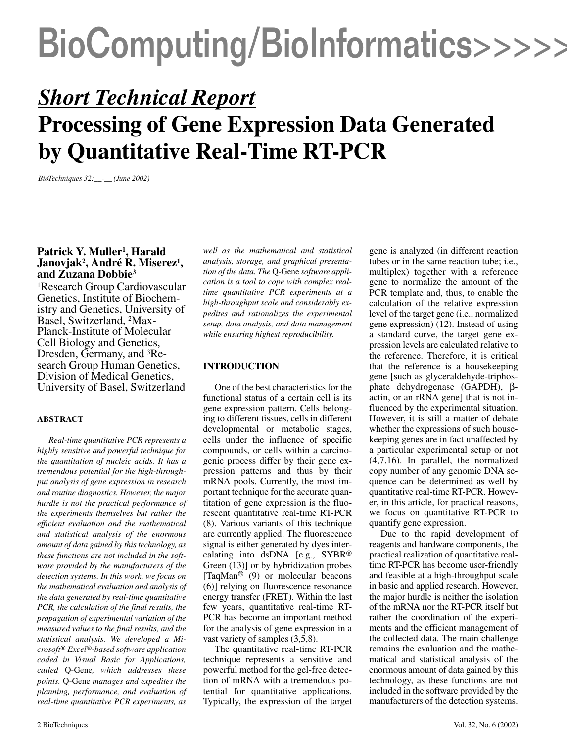### BioComputing/BioInformatics>>>>>

### *Short Technical Report* **Processing of Gene Expression Data Generated by Quantitative Real-Time RT-PCR**

*BioTechniques 32:\_\_-\_\_ (June 2002)*

### Patrick Y. Muller<sup>1</sup>, Harald **Janovjak2, André R. Miserez1, and Zuzana Dobbie3**

1Research Group Cardiovascular Genetics, Institute of Biochemistry and Genetics, University of Basel, Switzerland, 2Max-Planck-Institute of Molecular Cell Biology and Genetics, Dresden, Germany, and 3Research Group Human Genetics, Division of Medical Genetics, University of Basel, Switzerland

#### **ABSTRACT**

*Real-time quantitative PCR represents a highly sensitive and powerful technique for the quantitation of nucleic acids. It has a tremendous potential for the high-throughput analysis of gene expression in research and routine diagnostics. However, the major hurdle is not the practical performance of the experiments themselves but rather the efficient evaluation and the mathematical and statistical analysis of the enormous amount of data gained by this technology, as these functions are not included in the software provided by the manufacturers of the detection systems. In this work, we focus on the mathematical evaluation and analysis of the data generated by real-time quantitative PCR, the calculation of the final results, the propagation of experimental variation of the measured values to the final results, and the statistical analysis. We developed a Microsoft® Excel®-based software application coded in Visual Basic for Applications, called* Q-Gene*, which addresses these points.* Q-Gene *manages and expedites the planning, performance, and evaluation of real-time quantitative PCR experiments, as*

*well as the mathematical and statistical analysis, storage, and graphical presentation of the data. The* Q-Gene *software application is a tool to cope with complex realtime quantitative PCR experiments at a high-throughput scale and considerably expedites and rationalizes the experimental setup, data analysis, and data management while ensuring highest reproducibility.*

#### **INTRODUCTION**

One of the best characteristics for the functional status of a certain cell is its gene expression pattern. Cells belonging to different tissues, cells in different developmental or metabolic stages, cells under the influence of specific compounds, or cells within a carcinogenic process differ by their gene expression patterns and thus by their mRNA pools. Currently, the most important technique for the accurate quantitation of gene expression is the fluorescent quantitative real-time RT-PCR (8). Various variants of this technique are currently applied. The fluorescence signal is either generated by dyes intercalating into dsDNA [e.g., SYBR® Green (13)] or by hybridization probes [TaqMan<sup>®</sup> (9) or molecular beacons (6)] relying on fluorescence resonance energy transfer (FRET). Within the last few years, quantitative real-time RT-PCR has become an important method for the analysis of gene expression in a vast variety of samples (3,5,8).

The quantitative real-time RT-PCR technique represents a sensitive and powerful method for the gel-free detection of mRNA with a tremendous potential for quantitative applications. Typically, the expression of the target gene is analyzed (in different reaction tubes or in the same reaction tube; i.e., multiplex) together with a reference gene to normalize the amount of the PCR template and, thus, to enable the calculation of the relative expression level of the target gene (i.e., normalized gene expression) (12). Instead of using a standard curve, the target gene expression levels are calculated relative to the reference. Therefore, it is critical that the reference is a housekeeping gene [such as glyceraldehyde-triphosphate dehydrogenase (GAPDH), βactin, or an rRNA gene] that is not influenced by the experimental situation. However, it is still a matter of debate whether the expressions of such housekeeping genes are in fact unaffected by a particular experimental setup or not (4,7,16). In parallel, the normalized copy number of any genomic DNA sequence can be determined as well by quantitative real-time RT-PCR. However, in this article, for practical reasons, we focus on quantitative RT-PCR to quantify gene expression.

Due to the rapid development of reagents and hardware components, the practical realization of quantitative realtime RT-PCR has become user-friendly and feasible at a high-throughput scale in basic and applied research. However, the major hurdle is neither the isolation of the mRNA nor the RT-PCR itself but rather the coordination of the experiments and the efficient management of the collected data. The main challenge remains the evaluation and the mathematical and statistical analysis of the enormous amount of data gained by this technology, as these functions are not included in the software provided by the manufacturers of the detection systems.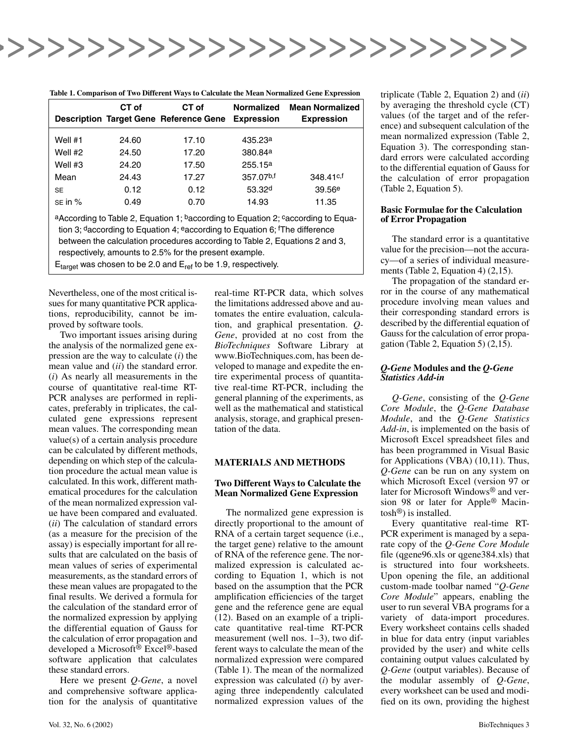

| Table 1. Comparison of Two Different Ways to Calculate the Mean Normalized Gene Expression |  |  |  |  |
|--------------------------------------------------------------------------------------------|--|--|--|--|
|                                                                                            |  |  |  |  |

|                                                                                                                                                                | CT of | CT of<br><b>Description Target Gene Reference Gene</b> | <b>Normalized</b><br><b>Expression</b> | <b>Mean Normalized</b><br><b>Expression</b> |  |  |  |  |  |
|----------------------------------------------------------------------------------------------------------------------------------------------------------------|-------|--------------------------------------------------------|----------------------------------------|---------------------------------------------|--|--|--|--|--|
| Well $#1$                                                                                                                                                      | 24.60 | 17.10                                                  | 435.23 <sup>a</sup>                    |                                             |  |  |  |  |  |
| Well #2                                                                                                                                                        | 24.50 | 17.20                                                  | 380.84a                                |                                             |  |  |  |  |  |
| Well #3                                                                                                                                                        | 24.20 | 17.50                                                  | 255.15a                                |                                             |  |  |  |  |  |
| Mean                                                                                                                                                           | 24.43 | 17.27                                                  | 357.07b,f                              | $348.41c$ , f                               |  |  |  |  |  |
| <b>SE</b>                                                                                                                                                      | 0.12  | 0.12                                                   | 53.32 <sup>d</sup>                     | 39.56e                                      |  |  |  |  |  |
| $SE$ in $%$                                                                                                                                                    | 0.49  | 0.70                                                   | 14.93                                  | 11.35                                       |  |  |  |  |  |
| a According to Table 2, Equation 1; baccording to Equation 2; caccording to Equa-<br>tion 2: Concepting to Equation 4: According to Equation C: The difference |       |                                                        |                                        |                                             |  |  |  |  |  |

tion 3; daccording to Equation 4; eaccording to Equation 6; fThe difference between the calculation procedures according to Table 2, Equations 2 and 3, respectively, amounts to 2.5% for the present example.  $E_{\text{target}}$  was chosen to be 2.0 and  $E_{\text{ref}}$  to be 1.9, respectively.

Nevertheless, one of the most critical issues for many quantitative PCR applications, reproducibility, cannot be improved by software tools.

Two important issues arising during the analysis of the normalized gene expression are the way to calculate (*i*) the mean value and (*ii*) the standard error. (*i*) As nearly all measurements in the course of quantitative real-time RT-PCR analyses are performed in replicates, preferably in triplicates, the calculated gene expressions represent mean values. The corresponding mean value(s) of a certain analysis procedure can be calculated by different methods, depending on which step of the calculation procedure the actual mean value is calculated. In this work, different mathematical procedures for the calculation of the mean normalized expression value have been compared and evaluated. (*ii*) The calculation of standard errors (as a measure for the precision of the assay) is especially important for all results that are calculated on the basis of mean values of series of experimental measurements, as the standard errors of these mean values are propagated to the final results. We derived a formula for the calculation of the standard error of the normalized expression by applying the differential equation of Gauss for the calculation of error propagation and developed a Microsoft® Excel®-based software application that calculates these standard errors.

Here we present *Q-Gene*, a novel and comprehensive software application for the analysis of quantitative real-time RT-PCR data, which solves the limitations addressed above and automates the entire evaluation, calculation, and graphical presentation. *Q-Gene*, provided at no cost from the *BioTechniques* Software Library at www.BioTechniques.com, has been developed to manage and expedite the entire experimental process of quantitative real-time RT-PCR, including the general planning of the experiments, as well as the mathematical and statistical analysis, storage, and graphical presentation of the data.

#### **MATERIALS AND METHODS**

#### **Two Different Ways to Calculate the Mean Normalized Gene Expression**

The normalized gene expression is directly proportional to the amount of RNA of a certain target sequence (i.e., the target gene) relative to the amount of RNA of the reference gene. The normalized expression is calculated according to Equation 1, which is not based on the assumption that the PCR amplification efficiencies of the target gene and the reference gene are equal (12). Based on an example of a triplicate quantitative real-time RT-PCR measurement (well nos. 1–3), two different ways to calculate the mean of the normalized expression were compared (Table 1). The mean of the normalized expression was calculated (*i*) by averaging three independently calculated normalized expression values of the triplicate (Table 2, Equation 2) and (*ii*) by averaging the threshold cycle (CT) values (of the target and of the reference) and subsequent calculation of the mean normalized expression (Table 2, Equation 3). The corresponding standard errors were calculated according to the differential equation of Gauss for the calculation of error propagation (Table 2, Equation 5).

#### **Basic Formulae for the Calculation of Error Propagation**

The standard error is a quantitative value for the precision—not the accuracy—of a series of individual measurements (Table 2, Equation 4) (2,15).

The propagation of the standard error in the course of any mathematical procedure involving mean values and their corresponding standard errors is described by the differential equation of Gauss for the calculation of error propagation (Table 2, Equation 5) (2,15).

#### *Q-Gene* **Modules and the** *Q-Gene Statistics Add-in*

*Q-Gene*, consisting of the *Q-Gene Core Module*, the *Q-Gene Database Module*, and the *Q-Gene Statistics Add-in*, is implemented on the basis of Microsoft Excel spreadsheet files and has been programmed in Visual Basic for Applications (VBA) (10,11). Thus, *Q-Gene* can be run on any system on which Microsoft Excel (version 97 or later for Microsoft Windows® and version 98 or later for Apple® Macintosh®) is installed.

Every quantitative real-time RT-PCR experiment is managed by a separate copy of the *Q-Gene Core Module* file (qgene96.xls or qgene384.xls) that is structured into four worksheets. Upon opening the file, an additional custom-made toolbar named "*Q-Gene Core Module*" appears, enabling the user to run several VBA programs for a variety of data-import procedures. Every worksheet contains cells shaded in blue for data entry (input variables provided by the user) and white cells containing output values calculated by *Q-Gene* (output variables). Because of the modular assembly of *Q-Gene*, every worksheet can be used and modified on its own, providing the highest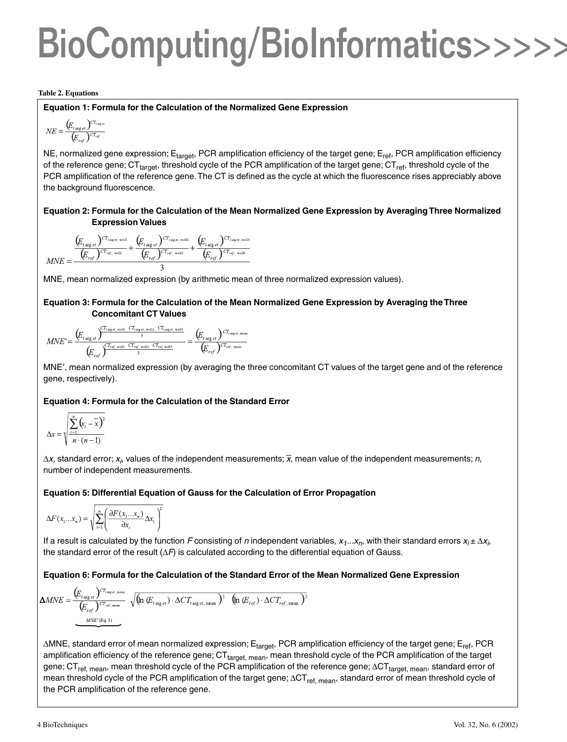# BioComputing/BioInformatics>>>>>

#### **Table 2. Equations**

#### **Equation 1: Formula for the Calculation of the Normalized Gene Expression**

$$
NE = \frac{(E_{t\arg et})^{CT_{t\arg et}}}{(E_{ref})^{CT_{ref}}}
$$

NE, normalized gene expression; E<sub>target</sub>, PCR amplification efficiency of the target gene; E<sub>ref</sub>, PCR amplification efficiency of the reference gene;  $CT_{\text{target}}$ , threshold cycle of the PCR amplification of the target gene;  $CT_{\text{ref}}$ , threshold cycle of the PCR amplification of the reference gene. The CT is defined as the cycle at which the fluorescence rises appreciably above the background fluorescence.

#### **Equation 2: Formula for the Calculation of the Mean Normalized Gene Expression by Averaging Three Normalized Expression Values**

$$
MNE = \frac{\left(E_{\text{r arg et}}\right)^{CT_{\text{rarg et, well}}}}{\left(E_{\text{ref}}\right)^{CT_{\text{rarg et, well}}}} + \frac{\left(E_{\text{r arg et}}\right)^{CT_{\text{rarg et, well2}}}}{\left(E_{\text{ref}}\right)^{CT_{\text{rref, well2}}}} + \frac{\left(E_{\text{r arg et}}\right)^{CT_{\text{rarg et, well3}}}}{\left(E_{\text{ref}}\right)^{CT_{\text{rref, well3}}}}
$$

MNE, mean normalized expression (by arithmetic mean of three normalized expression values).

#### **Equation 3: Formula for the Calculation of the Mean Normalized Gene Expression by Averaging the Three Concomitant CT Values**

$$
MNE' = \frac{\left(E_{t\arg et}\right)^{CT_{t\arg et, \text{ well}}-CT_{t\arg et, \text{ well2}}-CT_{t\arg et, \text{ well3}}}{\left(E_{ref}\right)^{CT_{ref, \text{ well}}-CT_{ref, \text{ well2}}-CT_{ref, \text{ well3}}}} = \frac{\left(E_{t\arg et}\right)^{CT_{t\arg et, \text{ mean}}}}{\left(E_{ref}\right)^{CT_{ref, \text{ mean}}}}
$$

MNE′, mean normalized expression (by averaging the three concomitant CT values of the target gene and of the reference gene, respectively).

#### **Equation 4: Formula for the Calculation of the Standard Error**

$$
\Delta x = \sqrt{\sum_{i=1}^{n} (x_i - \overline{x})^2 \over n \cdot (n-1)}
$$

∆*x*, standard error; *x<sub>i</sub>,* values of the independent measurements;  $\overline{x}$ , mean value of the independent measurements; *n*, number of independent measurements.

#### **Equation 5: Differential Equation of Gauss for the Calculation of Error Propagation**

$$
\Delta F(x_1...x_n) = \sqrt{\sum_{i=1}^n \left(\frac{\partial F(x_1...x_n)}{\partial x_i} \Delta x_i\right)^2}
$$

If a result is calculated by the function *F* consisting of *n* independent variables,  $x_1...x_n$ , with their standard errors  $x_i \pm \Delta x_i$ , the standard error of the result (∆*F*) is calculated according to the differential equation of Gauss.

#### **Equation 6: Formula for the Calculation of the Standard Error of the Mean Normalized Gene Expression**

$$
\Delta MNE = \frac{\left(E_{t\arg et}\right)^{CT_{reg et,mean}}}{\left(E_{ref}\right)^{CT_{reg,mean}}}\sqrt{\left(\ln\left(E_{t\arg et}\right)\cdot\Delta CT_{t\arg et,mean}\right)^2}\left(\ln\left(E_{ref}\right)\cdot\Delta CT_{ref,mean}\right)^2
$$

∆MNE, standard error of mean normalized expression; E<sub>target</sub>, PCR amplification efficiency of the target gene; E<sub>ref</sub>, PCR amplification efficiency of the reference gene; CT<sub>target, mean</sub>, mean threshold cycle of the PCR amplification of the target gene; CT<sub>ref, mean</sub>, mean threshold cycle of the PCR amplification of the reference gene; ∆CT<sub>target, mean</sub>, standard error of mean threshold cycle of the PCR amplification of the target gene; ∆CT<sub>ref, mean</sub>, standard error of mean threshold cycle of the PCR amplification of the reference gene.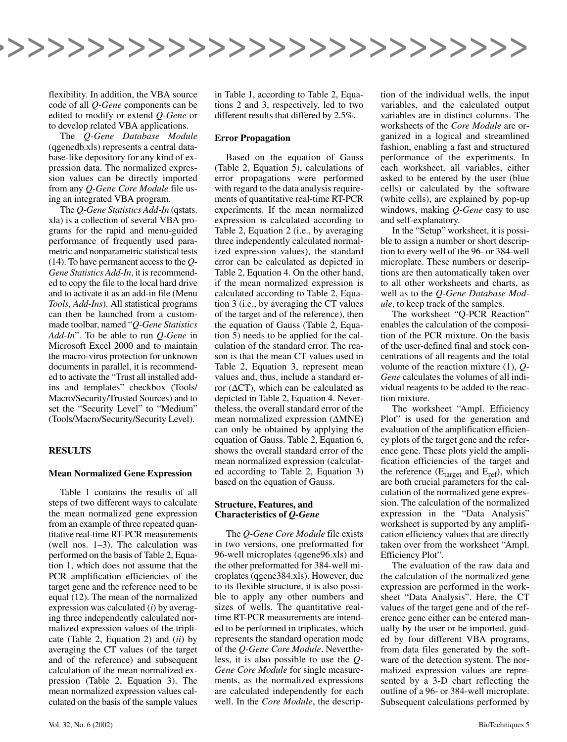

flexibility. In addition, the VBA source code of all *Q-Gene* components can be edited to modify or extend *Q-Gene* or to develop related VBA applications.

The *Q-Gene Database Module* (qgenedb.xls) represents a central database-like depository for any kind of expression data. The normalized expression values can be directly imported from any *Q-Gene Core Module* file using an integrated VBA program.

The *Q-Gene Statistics Add-In* (qstats. xla) is a collection of several VBA programs for the rapid and menu-guided performance of frequently used parametric and nonparametric statistical tests (14). To have permanent access to the *Q-Gene Statistics Add-In*, it is recommended to copy the file to the local hard drive and to activate it as an add-in file (Menu *Tools*, *Add-Ins*). All statistical programs can then be launched from a custommade toolbar, named "*Q-Gene Statistics Add-In*". To be able to run *Q-Gene* in Microsoft Excel 2000 and to maintain the macro-virus protection for unknown documents in parallel, it is recommended to activate the "Trust all installed addins and templates" checkbox (Tools/ Macro/Security/Trusted Sources) and to set the "Security Level" to "Medium" (Tools/Macro/Security/Security Level).

#### **RESULTS**

#### **Mean Normalized Gene Expression**

Table 1 contains the results of all steps of two different ways to calculate the mean normalized gene expression from an example of three repeated quantitative real-time RT-PCR measurements (well nos. 1–3). The calculation was performed on the basis of Table 2, Equation 1, which does not assume that the PCR amplification efficiencies of the target gene and the reference need to be equal (12). The mean of the normalized expression was calculated (*i*) by averaging three independently calculated normalized expression values of the triplicate (Table 2, Equation 2) and (*ii*) by averaging the CT values (of the target and of the reference) and subsequent calculation of the mean normalized expression (Table 2, Equation 3). The mean normalized expression values calculated on the basis of the sample values in Table 1, according to Table 2, Equations 2 and 3, respectively, led to two different results that differed by 2.5%.

#### **Error Propagation**

Based on the equation of Gauss (Table 2, Equation 5), calculations of error propagations were performed with regard to the data analysis requirements of quantitative real-time RT-PCR experiments. If the mean normalized expression is calculated according to Table 2, Equation 2 (i.e., by averaging three independently calculated normalized expression values), the standard error can be calculated as depicted in Table 2, Equation 4. On the other hand, if the mean normalized expression is calculated according to Table 2, Equation 3 (i.e., by averaging the CT values of the target and of the reference), then the equation of Gauss (Table 2, Equation 5) needs to be applied for the calculation of the standard error. The reason is that the mean CT values used in Table 2, Equation 3, represent mean values and, thus, include a standard error (∆CT), which can be calculated as depicted in Table 2, Equation 4. Nevertheless, the overall standard error of the mean normalized expression (∆MNE) can only be obtained by applying the equation of Gauss. Table 2, Equation 6, shows the overall standard error of the mean normalized expression (calculated according to Table 2, Equation 3) based on the equation of Gauss.

#### **Structure, Features, and Characteristics of** *Q-Gene*

The *Q-Gene Core Module* file exists in two versions, one preformatted for 96-well microplates (qgene96.xls) and the other preformatted for 384-well microplates (qgene384.xls). However, due to its flexible structure, it is also possible to apply any other numbers and sizes of wells. The quantitative realtime RT-PCR measurements are intended to be performed in triplicates, which represents the standard operation mode of the *Q-Gene Core Module*. Nevertheless, it is also possible to use the *Q-Gene Core Module* for single measurements, as the normalized expressions are calculated independently for each well. In the *Core Module*, the descrip-

tion of the individual wells, the input variables, and the calculated output variables are in distinct columns. The worksheets of the *Core Module* are organized in a logical and streamlined fashion, enabling a fast and structured performance of the experiments. In each worksheet, all variables, either asked to be entered by the user (blue cells) or calculated by the software (white cells), are explained by pop-up windows, making *Q-Gene* easy to use and self-explanatory.

In the "Setup" worksheet, it is possible to assign a number or short description to every well of the 96- or 384-well microplate. These numbers or descriptions are then automatically taken over to all other worksheets and charts, as well as to the *Q-Gene Database Module*, to keep track of the samples.

The worksheet "Q-PCR Reaction" enables the calculation of the composition of the PCR mixture. On the basis of the user-defined final and stock concentrations of all reagents and the total volume of the reaction mixture (1), *Q-Gene* calculates the volumes of all individual reagents to be added to the reaction mixture.

The worksheet "Ampl. Efficiency Plot" is used for the generation and evaluation of the amplification efficiency plots of the target gene and the reference gene. These plots yield the amplification efficiencies of the target and the reference  $(E<sub>target</sub>$  and  $E<sub>ref</sub>$ ), which are both crucial parameters for the calculation of the normalized gene expression. The calculation of the normalized expression in the "Data Analysis" worksheet is supported by any amplification efficiency values that are directly taken over from the worksheet "Ampl. Efficiency Plot".

The evaluation of the raw data and the calculation of the normalized gene expression are performed in the worksheet "Data Analysis". Here, the CT values of the target gene and of the reference gene either can be entered manually by the user or be imported, guided by four different VBA programs, from data files generated by the software of the detection system. The normalized expression values are represented by a 3-D chart reflecting the outline of a 96- or 384-well microplate. Subsequent calculations performed by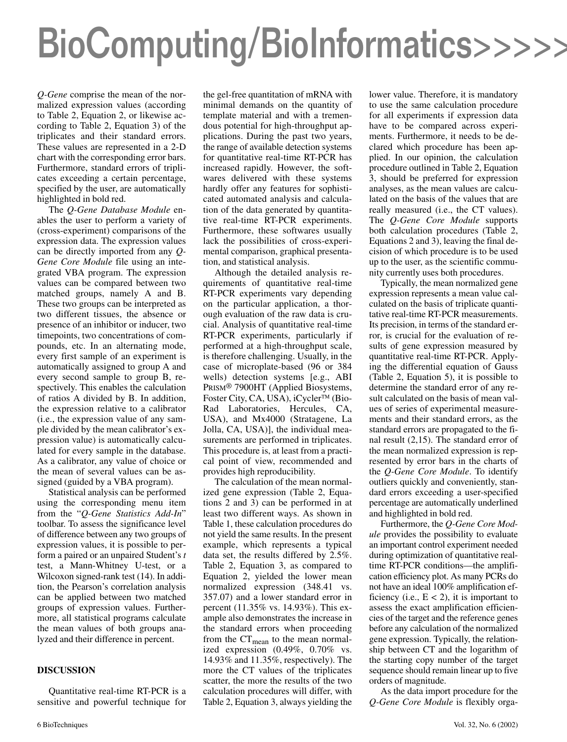# BioComputing/BioInformatics>>>>>

*Q-Gene* comprise the mean of the normalized expression values (according to Table 2, Equation 2, or likewise according to Table 2, Equation 3) of the triplicates and their standard errors. These values are represented in a 2-D chart with the corresponding error bars. Furthermore, standard errors of triplicates exceeding a certain percentage, specified by the user, are automatically highlighted in bold red.

The *Q-Gene Database Module* enables the user to perform a variety of (cross-experiment) comparisons of the expression data. The expression values can be directly imported from any *Q-Gene Core Module* file using an integrated VBA program. The expression values can be compared between two matched groups, namely A and B. These two groups can be interpreted as two different tissues, the absence or presence of an inhibitor or inducer, two timepoints, two concentrations of compounds, etc. In an alternating mode, every first sample of an experiment is automatically assigned to group A and every second sample to group B, respectively. This enables the calculation of ratios A divided by B. In addition, the expression relative to a calibrator (i.e., the expression value of any sample divided by the mean calibrator's expression value) is automatically calculated for every sample in the database. As a calibrator, any value of choice or the mean of several values can be assigned (guided by a VBA program).

Statistical analysis can be performed using the corresponding menu item from the "*Q-Gene Statistics Add-In*" toolbar. To assess the significance level of difference between any two groups of expression values, it is possible to perform a paired or an unpaired Student's *t* test, a Mann-Whitney U-test, or a Wilcoxon signed-rank test (14). In addition, the Pearson's correlation analysis can be applied between two matched groups of expression values. Furthermore, all statistical programs calculate the mean values of both groups analyzed and their difference in percent.

#### **DISCUSSION**

Quantitative real-time RT-PCR is a sensitive and powerful technique for

the gel-free quantitation of mRNA with minimal demands on the quantity of template material and with a tremendous potential for high-throughput applications. During the past two years, the range of available detection systems for quantitative real-time RT-PCR has increased rapidly. However, the softwares delivered with these systems hardly offer any features for sophisticated automated analysis and calculation of the data generated by quantitative real-time RT-PCR experiments. Furthermore, these softwares usually lack the possibilities of cross-experimental comparison, graphical presentation, and statistical analysis.

Although the detailed analysis requirements of quantitative real-time RT-PCR experiments vary depending on the particular application, a thorough evaluation of the raw data is crucial. Analysis of quantitative real-time RT-PCR experiments, particularly if performed at a high-throughput scale, is therefore challenging. Usually, in the case of microplate-based (96 or 384 wells) detection systems [e.g., ABI PRISM® 7900HT (Applied Biosystems, Foster City, CA, USA), iCycler<sup>™</sup> (Bio-Rad Laboratories, Hercules, CA, USA), and Mx4000 (Stratagene, La Jolla, CA, USA)], the individual measurements are performed in triplicates. This procedure is, at least from a practical point of view, recommended and provides high reproducibility.

The calculation of the mean normalized gene expression (Table 2, Equations 2 and 3) can be performed in at least two different ways. As shown in Table 1, these calculation procedures do not yield the same results. In the present example, which represents a typical data set, the results differed by 2.5%. Table 2, Equation 3, as compared to Equation 2, yielded the lower mean normalized expression (348.41 vs. 357.07) and a lower standard error in percent (11.35% vs. 14.93%). This example also demonstrates the increase in the standard errors when proceeding from the  $CT_{mean}$  to the mean normalized expression (0.49%, 0.70% vs. 14.93% and 11.35%, respectively). The more the CT values of the triplicates scatter, the more the results of the two calculation procedures will differ, with Table 2, Equation 3, always yielding the

lower value. Therefore, it is mandatory to use the same calculation procedure for all experiments if expression data have to be compared across experiments. Furthermore, it needs to be declared which procedure has been applied. In our opinion, the calculation procedure outlined in Table 2, Equation 3, should be preferred for expression analyses, as the mean values are calculated on the basis of the values that are really measured (i.e., the CT values). The *Q-Gene Core Module* supports both calculation procedures (Table 2, Equations 2 and 3), leaving the final decision of which procedure is to be used up to the user, as the scientific community currently uses both procedures.

Typically, the mean normalized gene expression represents a mean value calculated on the basis of triplicate quantitative real-time RT-PCR measurements. Its precision, in terms of the standard error, is crucial for the evaluation of results of gene expression measured by quantitative real-time RT-PCR. Applying the differential equation of Gauss (Table 2, Equation 5), it is possible to determine the standard error of any result calculated on the basis of mean values of series of experimental measurements and their standard errors, as the standard errors are propagated to the final result (2,15). The standard error of the mean normalized expression is represented by error bars in the charts of the *Q-Gene Core Module*. To identify outliers quickly and conveniently, standard errors exceeding a user-specified percentage are automatically underlined and highlighted in bold red.

Furthermore, the *Q-Gene Core Module* provides the possibility to evaluate an important control experiment needed during optimization of quantitative realtime RT-PCR conditions—the amplification efficiency plot. As many PCRs do not have an ideal 100% amplification efficiency (i.e.,  $E < 2$ ), it is important to assess the exact amplification efficiencies of the target and the reference genes before any calculation of the normalized gene expression. Typically, the relationship between CT and the logarithm of the starting copy number of the target sequence should remain linear up to five orders of magnitude.

As the data import procedure for the *Q-Gene Core Module* is flexibly orga-